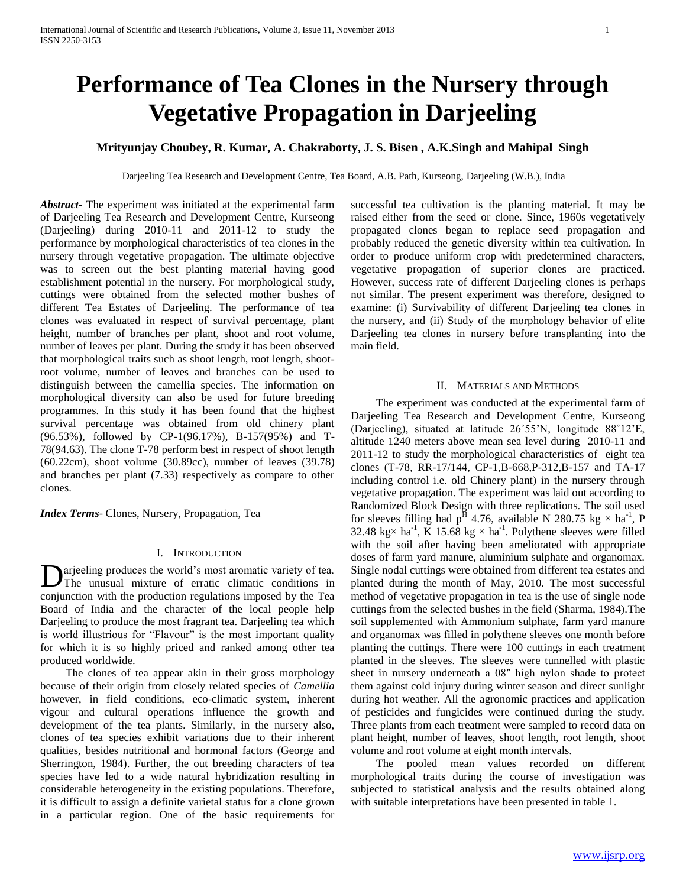# **Performance of Tea Clones in the Nursery through Vegetative Propagation in Darjeeling**

# **Mrityunjay Choubey, R. Kumar, A. Chakraborty, J. S. Bisen , A.K.Singh and Mahipal Singh**

Darjeeling Tea Research and Development Centre, Tea Board, A.B. Path, Kurseong, Darjeeling (W.B.), India

*Abstract***-** The experiment was initiated at the experimental farm of Darjeeling Tea Research and Development Centre, Kurseong (Darjeeling) during 2010-11 and 2011-12 to study the performance by morphological characteristics of tea clones in the nursery through vegetative propagation. The ultimate objective was to screen out the best planting material having good establishment potential in the nursery. For morphological study, cuttings were obtained from the selected mother bushes of different Tea Estates of Darjeeling. The performance of tea clones was evaluated in respect of survival percentage, plant height, number of branches per plant, shoot and root volume, number of leaves per plant. During the study it has been observed that morphological traits such as shoot length, root length, shootroot volume, number of leaves and branches can be used to distinguish between the camellia species. The information on morphological diversity can also be used for future breeding programmes. In this study it has been found that the highest survival percentage was obtained from old chinery plant (96.53%), followed by CP-1(96.17%), B-157(95%) and T-78(94.63). The clone T-78 perform best in respect of shoot length (60.22cm), shoot volume (30.89cc), number of leaves (39.78) and branches per plant (7.33) respectively as compare to other clones.

*Index Terms*- Clones, Nursery, Propagation, Tea

## I. INTRODUCTION

arjeeling produces the world's most aromatic variety of tea. **D** arjeeling produces the world's most aromatic variety of tea.<br>The unusual mixture of erratic climatic conditions in conjunction with the production regulations imposed by the Tea Board of India and the character of the local people help Darjeeling to produce the most fragrant tea. Darjeeling tea which is world illustrious for "Flavour" is the most important quality for which it is so highly priced and ranked among other tea produced worldwide.

 The clones of tea appear akin in their gross morphology because of their origin from closely related species of *Camellia*  however, in field conditions, eco-climatic system, inherent vigour and cultural operations influence the growth and development of the tea plants. Similarly, in the nursery also, clones of tea species exhibit variations due to their inherent qualities, besides nutritional and hormonal factors (George and Sherrington, 1984). Further, the out breeding characters of tea species have led to a wide natural hybridization resulting in considerable heterogeneity in the existing populations. Therefore, it is difficult to assign a definite varietal status for a clone grown in a particular region. One of the basic requirements for

successful tea cultivation is the planting material. It may be raised either from the seed or clone. Since, 1960s vegetatively propagated clones began to replace seed propagation and probably reduced the genetic diversity within tea cultivation. In order to produce uniform crop with predetermined characters, vegetative propagation of superior clones are practiced. However, success rate of different Darjeeling clones is perhaps not similar. The present experiment was therefore, designed to examine: (i) Survivability of different Darjeeling tea clones in the nursery, and (ii) Study of the morphology behavior of elite Darjeeling tea clones in nursery before transplanting into the main field.

## II. MATERIALS AND METHODS

 The experiment was conducted at the experimental farm of Darjeeling Tea Research and Development Centre, Kurseong (Darjeeling), situated at latitude 26˚55'N, longitude 88˚12'E, altitude 1240 meters above mean sea level during 2010-11 and 2011-12 to study the morphological characteristics of eight tea clones (T-78, RR-17/144, CP-1,B-668,P-312,B-157 and TA-17 including control i.e. old Chinery plant) in the nursery through vegetative propagation. The experiment was laid out according to Randomized Block Design with three replications. The soil used for sleeves filling had  $p^{\overline{H}}$  4.76, available N 280.75 kg  $\times$  ha<sup>-1</sup>, P 32.48 kg× ha<sup>-1</sup>, K 15.68 kg × ha<sup>-1</sup>. Polythene sleeves were filled with the soil after having been ameliorated with appropriate doses of farm yard manure, aluminium sulphate and organomax. Single nodal cuttings were obtained from different tea estates and planted during the month of May, 2010. The most successful method of vegetative propagation in tea is the use of single node cuttings from the selected bushes in the field (Sharma, 1984).The soil supplemented with Ammonium sulphate, farm yard manure and organomax was filled in polythene sleeves one month before planting the cuttings. There were 100 cuttings in each treatment planted in the sleeves. The sleeves were tunnelled with plastic sheet in nursery underneath a 08<sup> *high nylon shade to protect</sup>* them against cold injury during winter season and direct sunlight during hot weather. All the agronomic practices and application of pesticides and fungicides were continued during the study. Three plants from each treatment were sampled to record data on plant height, number of leaves, shoot length, root length, shoot volume and root volume at eight month intervals.

 The pooled mean values recorded on different morphological traits during the course of investigation was subjected to statistical analysis and the results obtained along with suitable interpretations have been presented in table 1.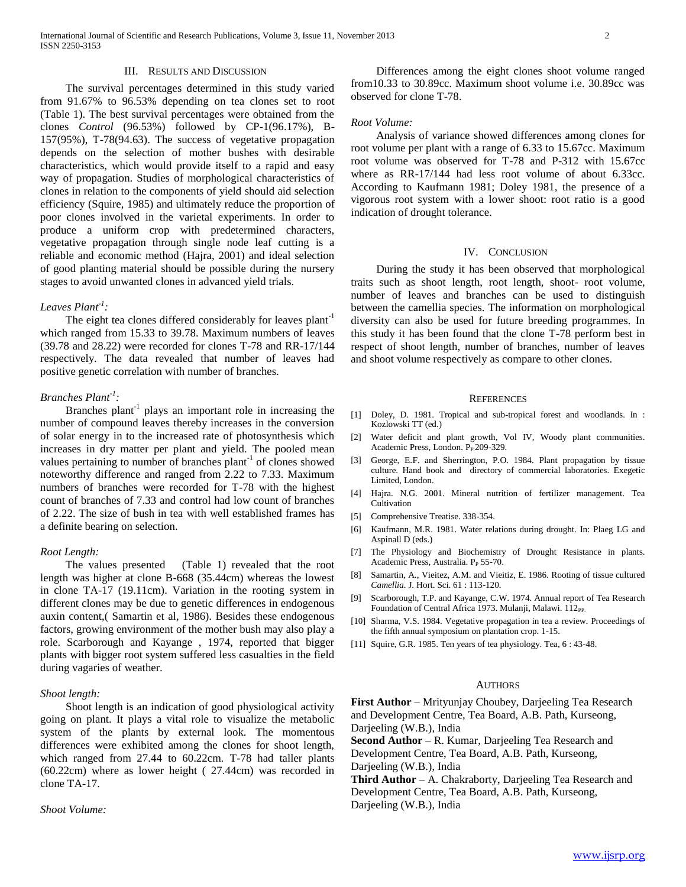## III. RESULTS AND DISCUSSION

 The survival percentages determined in this study varied from 91.67% to 96.53% depending on tea clones set to root (Table 1). The best survival percentages were obtained from the clones *Control* (96.53%) followed by CP-1(96.17%), B-157(95%), T-78(94.63). The success of vegetative propagation depends on the selection of mother bushes with desirable characteristics, which would provide itself to a rapid and easy way of propagation. Studies of morphological characteristics of clones in relation to the components of yield should aid selection efficiency (Squire, 1985) and ultimately reduce the proportion of poor clones involved in the varietal experiments. In order to produce a uniform crop with predetermined characters, vegetative propagation through single node leaf cutting is a reliable and economic method (Hajra, 2001) and ideal selection of good planting material should be possible during the nursery stages to avoid unwanted clones in advanced yield trials.

# *Leaves Plant-1 :*

The eight tea clones differed considerably for leaves plant<sup>-1</sup> which ranged from 15.33 to 39.78. Maximum numbers of leaves (39.78 and 28.22) were recorded for clones T-78 and RR-17/144 respectively. The data revealed that number of leaves had positive genetic correlation with number of branches.

# *Branches Plant-1 :*

Branches plant<sup>-1</sup> plays an important role in increasing the number of compound leaves thereby increases in the conversion of solar energy in to the increased rate of photosynthesis which increases in dry matter per plant and yield. The pooled mean values pertaining to number of branches plant<sup>-1</sup> of clones showed noteworthy difference and ranged from 2.22 to 7.33. Maximum numbers of branches were recorded for T-78 with the highest count of branches of 7.33 and control had low count of branches of 2.22. The size of bush in tea with well established frames has a definite bearing on selection.

## *Root Length:*

 The values presented (Table 1) revealed that the root length was higher at clone B-668 (35.44cm) whereas the lowest in clone TA-17 (19.11cm). Variation in the rooting system in different clones may be due to genetic differences in endogenous auxin content,( Samartin et al, 1986). Besides these endogenous factors, growing environment of the mother bush may also play a role. Scarborough and Kayange , 1974, reported that bigger plants with bigger root system suffered less casualties in the field during vagaries of weather.

#### *Shoot length:*

 Shoot length is an indication of good physiological activity going on plant. It plays a vital role to visualize the metabolic system of the plants by external look. The momentous differences were exhibited among the clones for shoot length, which ranged from 27.44 to 60.22cm. T-78 had taller plants (60.22cm) where as lower height ( 27.44cm) was recorded in clone TA-17.

*Shoot Volume:*

 Differences among the eight clones shoot volume ranged from10.33 to 30.89cc. Maximum shoot volume i.e. 30.89cc was observed for clone T-78.

#### *Root Volume:*

 Analysis of variance showed differences among clones for root volume per plant with a range of 6.33 to 15.67cc. Maximum root volume was observed for T-78 and P-312 with 15.67cc where as RR-17/144 had less root volume of about 6.33cc. According to Kaufmann 1981; Doley 1981, the presence of a vigorous root system with a lower shoot: root ratio is a good indication of drought tolerance.

#### IV. CONCLUSION

 During the study it has been observed that morphological traits such as shoot length, root length, shoot- root volume, number of leaves and branches can be used to distinguish between the camellia species. The information on morphological diversity can also be used for future breeding programmes. In this study it has been found that the clone T-78 perform best in respect of shoot length, number of branches, number of leaves and shoot volume respectively as compare to other clones.

#### **REFERENCES**

- [1] Doley, D. 1981. Tropical and sub-tropical forest and woodlands. In : Kozlowski TT (ed.)
- [2] Water deficit and plant growth, Vol IV, Woody plant communities. Academic Press, London. P<sub>P.</sub>209-329.
- [3] George, E.F. and Sherrington, P.O. 1984. Plant propagation by tissue culture. Hand book and directory of commercial laboratories. Exegetic Limited, London.
- [4] Hajra. N.G. 2001. Mineral nutrition of fertilizer management. Tea **Cultivation**
- [5] Comprehensive Treatise. 338-354.
- [6] Kaufmann, M.R. 1981. Water relations during drought. In: Plaeg LG and Aspinall D (eds.)
- [7] The Physiology and Biochemistry of Drought Resistance in plants. Academic Press, Australia. P<sub>P</sub> 55-70.
- [8] Samartin, A., Vieitez, A.M. and Vieitiz, E. 1986. Rooting of tissue cultured *Camellia.* J. Hort. Sci. 61 : 113-120.
- [9] Scarborough, T.P. and Kayange, C.W. 1974. Annual report of Tea Research Foundation of Central Africa 1973. Mulanji, Malawi. 112<sub>PP.</sub>
- [10] Sharma, V.S. 1984. Vegetative propagation in tea a review. Proceedings of the fifth annual symposium on plantation crop. 1-15.
- [11] Squire, G.R. 1985. Ten years of tea physiology. Tea, 6 : 43-48.

#### AUTHORS

**First Author** – Mrityunjay Choubey, Darjeeling Tea Research and Development Centre, Tea Board, A.B. Path, Kurseong, Darjeeling (W.B.), India

**Second Author** – R. Kumar, Darjeeling Tea Research and Development Centre, Tea Board, A.B. Path, Kurseong, Darjeeling (W.B.), India

**Third Author** – A. Chakraborty, Darjeeling Tea Research and Development Centre, Tea Board, A.B. Path, Kurseong, Darjeeling (W.B.), India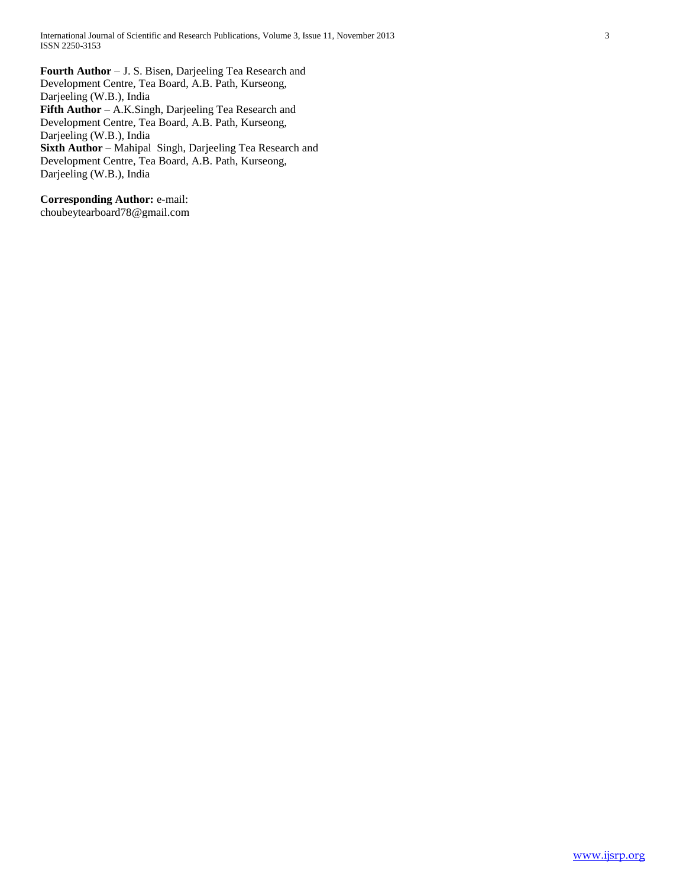**Fourth Author** – J. S. Bisen, Darjeeling Tea Research and Development Centre, Tea Board, A.B. Path, Kurseong, Darjeeling (W.B.), India **Fifth Author** – A.K.Singh, Darjeeling Tea Research and Development Centre, Tea Board, A.B. Path, Kurseong, Darjeeling (W.B.), India **Sixth Author** – Mahipal Singh, Darjeeling Tea Research and Development Centre, Tea Board, A.B. Path, Kurseong, Darjeeling (W.B.), India

**Corresponding Author:** e-mail: choubeytearboard78@gmail.com